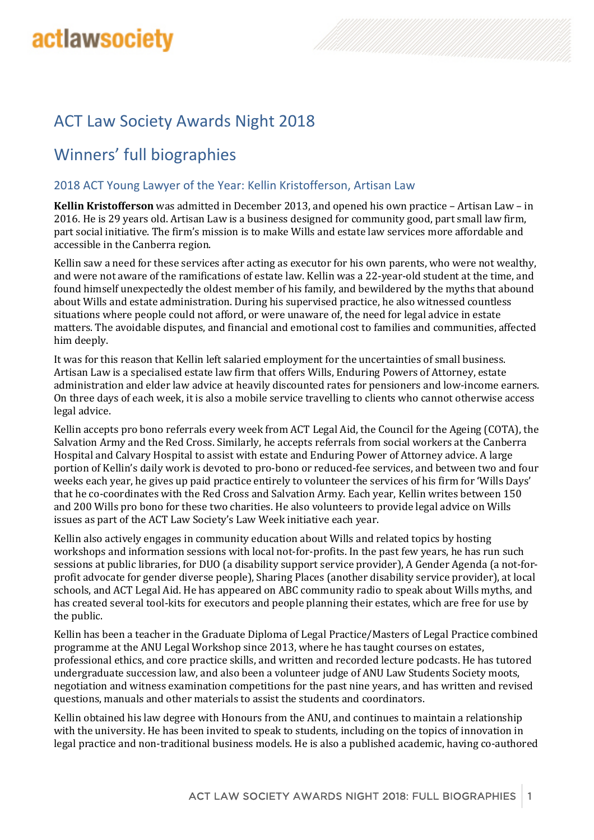# **actlawsociety**

# ACT Law Society Awards Night 2018

## Winners' full biographies

#### 2018 ACT Young Lawyer of the Year: Kellin Kristofferson, Artisan Law

**Kellin Kristofferson** was admitted in December 2013, and opened his own practice – Artisan Law – in 2016. He is 29 years old. Artisan Law is a business designed for community good, part small law firm, part social initiative. The firm's mission is to make Wills and estate law services more affordable and accessible in the Canberra region.

Kellin saw a need for these services after acting as executor for his own parents, who were not wealthy, and were not aware of the ramifications of estate law. Kellin was a 22-year-old student at the time, and found himself unexpectedly the oldest member of his family, and bewildered by the myths that abound about Wills and estate administration. During his supervised practice, he also witnessed countless situations where people could not afford, or were unaware of, the need for legal advice in estate matters. The avoidable disputes, and financial and emotional cost to families and communities, affected him deeply.

It was for this reason that Kellin left salaried employment for the uncertainties of small business. Artisan Law is a specialised estate law firm that offers Wills, Enduring Powers of Attorney, estate administration and elder law advice at heavily discounted rates for pensioners and low-income earners. On three days of each week, it is also a mobile service travelling to clients who cannot otherwise access legal advice.

Kellin accepts pro bono referrals every week from ACT Legal Aid, the Council for the Ageing (COTA), the Salvation Army and the Red Cross. Similarly, he accepts referrals from social workers at the Canberra Hospital and Calvary Hospital to assist with estate and Enduring Power of Attorney advice. A large portion of Kellin's daily work is devoted to pro-bono or reduced-fee services, and between two and four weeks each year, he gives up paid practice entirely to volunteer the services of his firm for 'Wills Days' that he co-coordinates with the Red Cross and Salvation Army. Each year, Kellin writes between 150 and 200 Wills pro bono for these two charities. He also volunteers to provide legal advice on Wills issues as part of the ACT Law Society's Law Week initiative each year.

Kellin also actively engages in community education about Wills and related topics by hosting workshops and information sessions with local not-for-profits. In the past few years, he has run such sessions at public libraries, for DUO (a disability support service provider), A Gender Agenda (a not-forprofit advocate for gender diverse people), Sharing Places (another disability service provider), at local schools, and ACT Legal Aid. He has appeared on ABC community radio to speak about Wills myths, and has created several tool-kits for executors and people planning their estates, which are free for use by the public.

Kellin has been a teacher in the Graduate Diploma of Legal Practice/Masters of Legal Practice combined programme at the ANU Legal Workshop since 2013, where he has taught courses on estates, professional ethics, and core practice skills, and written and recorded lecture podcasts. He has tutored undergraduate succession law, and also been a volunteer judge of ANU Law Students Society moots, negotiation and witness examination competitions for the past nine years, and has written and revised questions, manuals and other materials to assist the students and coordinators.

Kellin obtained his law degree with Honours from the ANU, and continues to maintain a relationship with the university. He has been invited to speak to students, including on the topics of innovation in legal practice and non-traditional business models. He is also a published academic, having co-authored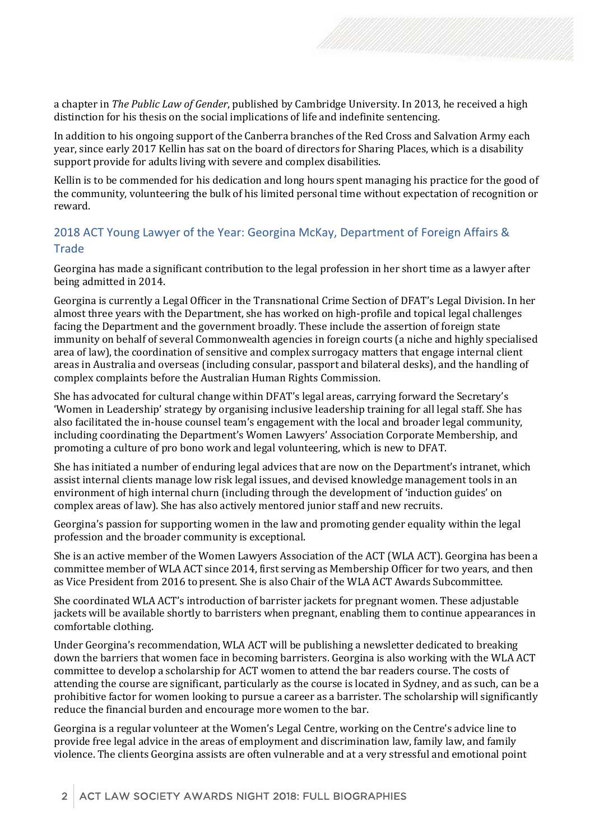a chapter in *The Public Law of Gender*, published by Cambridge University. In 2013, he received a high distinction for his thesis on the social implications of life and indefinite sentencing.

In addition to his ongoing support of the Canberra branches of the Red Cross and Salvation Army each year, since early 2017 Kellin has sat on the board of directors for Sharing Places, which is a disability support provide for adults living with severe and complex disabilities.

Kellin is to be commended for his dedication and long hours spent managing his practice for the good of the community, volunteering the bulk of his limited personal time without expectation of recognition or reward.

## 2018 ACT Young Lawyer of the Year: Georgina McKay, Department of Foreign Affairs & **Trade**

Georgina has made a significant contribution to the legal profession in her short time as a lawyer after being admitted in 2014.

Georgina is currently a Legal Officer in the Transnational Crime Section of DFAT's Legal Division. In her almost three years with the Department, she has worked on high-profile and topical legal challenges facing the Department and the government broadly. These include the assertion of foreign state immunity on behalf of several Commonwealth agencies in foreign courts (a niche and highly specialised area of law), the coordination of sensitive and complex surrogacy matters that engage internal client areas in Australia and overseas (including consular, passport and bilateral desks), and the handling of complex complaints before the Australian Human Rights Commission.

She has advocated for cultural change within DFAT's legal areas, carrying forward the Secretary's 'Women in Leadership' strategy by organising inclusive leadership training for all legal staff. She has also facilitated the in-house counsel team's engagement with the local and broader legal community, including coordinating the Department's Women Lawyers' Association Corporate Membership, and promoting a culture of pro bono work and legal volunteering, which is new to DFAT.

She has initiated a number of enduring legal advices that are now on the Department's intranet, which assist internal clients manage low risk legal issues, and devised knowledge management tools in an environment of high internal churn (including through the development of 'induction guides' on complex areas of law). She has also actively mentored junior staff and new recruits.

Georgina's passion for supporting women in the law and promoting gender equality within the legal profession and the broader community is exceptional.

She is an active member of the Women Lawyers Association of the ACT (WLA ACT). Georgina has been a committee member of WLA ACT since 2014, first serving as Membership Officer for two years, and then as Vice President from 2016 topresent. She is also Chair of the WLA ACT Awards Subcommittee.

She coordinated WLA ACT's introduction of barrister jackets for pregnant women. These adjustable jackets will be available shortly to barristers when pregnant, enabling them to continue appearances in comfortable clothing.

Under Georgina's recommendation, WLA ACT will be publishing a newsletter dedicated to breaking down the barriers that women face in becoming barristers. Georgina is also working with the WLA ACT committee to develop a scholarship for ACT women to attend the bar readers course. The costs of attending the course are significant, particularly as the course is located in Sydney, and as such, can be a prohibitive factor for women looking to pursue a career as a barrister. The scholarship will significantly reduce the financial burden and encourage more women to the bar.

Georgina is a regular volunteer at the Women's Legal Centre, working on the Centre's advice line to provide free legal advice in the areas of employment and discrimination law, family law, and family violence. The clients Georgina assists are often vulnerable and at a very stressful and emotional point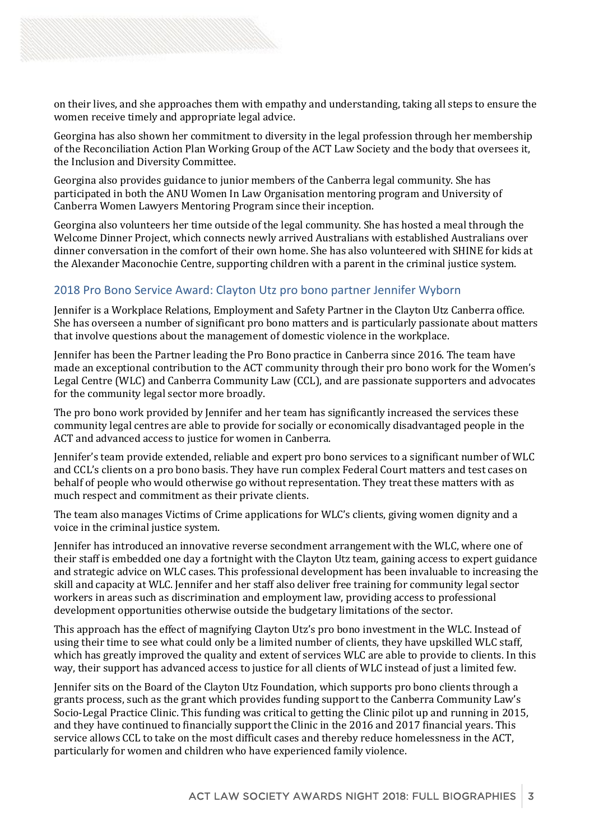on their lives, and she approaches them with empathy and understanding, taking all steps to ensure the women receive timely and appropriate legal advice.

Georgina has also shown her commitment to diversity in the legal profession through her membership of the Reconciliation Action Plan Working Group of the ACT Law Society and the body that oversees it, the Inclusion and Diversity Committee.

Georgina also provides guidance to junior members of the Canberra legal community. She has participated in both the ANU Women In Law Organisation mentoring program and University of Canberra Women Lawyers Mentoring Program since their inception.

Georgina also volunteers her time outside of the legal community. She has hosted a meal through the Welcome Dinner Project, which connects newly arrived Australians with established Australians over dinner conversation in the comfort of their own home. She has also volunteered with SHINE for kids at the Alexander Maconochie Centre, supporting children with a parent in the criminal justice system.

#### 2018 Pro Bono Service Award: Clayton Utz pro bono partner Jennifer Wyborn

Jennifer is a Workplace Relations, Employment and Safety Partner in the Clayton Utz Canberra office. She has overseen a number of significant pro bono matters and is particularly passionate about matters that involve questions about the management of domestic violence in the workplace.

Jennifer has been the Partner leading the Pro Bono practice in Canberra since 2016. The team have made an exceptional contribution to the ACT community through their pro bono work for the Women's Legal Centre (WLC) and Canberra Community Law (CCL), and are passionate supporters and advocates for the community legal sector more broadly.

The pro bono work provided by Jennifer and her team has significantly increased the services these community legal centres are able to provide for socially or economically disadvantaged people in the ACT and advanced access to justice for women in Canberra.

Jennifer's team provide extended, reliable and expert pro bono services to a significant number of WLC and CCL's clients on a pro bono basis. They have run complex Federal Court matters and test cases on behalf of people who would otherwise go without representation. They treat these matters with as much respect and commitment as their private clients.

The team also manages Victims of Crime applications for WLC's clients, giving women dignity and a voice in the criminal justice system.

Jennifer has introduced an innovative reverse secondment arrangement with the WLC, where one of their staff is embedded one day a fortnight with the Clayton Utz team, gaining access to expert guidance and strategic advice on WLC cases. This professional development has been invaluable to increasing the skill and capacity at WLC. Jennifer and her staff also deliver free training for community legal sector workers in areas such as discrimination and employment law, providing access to professional development opportunities otherwise outside the budgetary limitations of the sector.

This approach has the effect of magnifying Clayton Utz's pro bono investment in the WLC. Instead of using their time to see what could only be a limited number of clients, they have upskilled WLC staff, which has greatly improved the quality and extent of services WLC are able to provide to clients. In this way, their support has advanced access to justice for all clients of WLC instead of just a limited few.

Jennifer sits on the Board of the Clayton Utz Foundation, which supports pro bono clients through a grants process, such as the grant which provides funding support to the Canberra Community Law's Socio-Legal Practice Clinic. This funding was critical to getting the Clinic pilot up and running in 2015, and they have continued to financially support the Clinic in the 2016 and 2017 financial years. This service allows CCL to take on the most difficult cases and thereby reduce homelessness in the ACT, particularly for women and children who have experienced family violence.